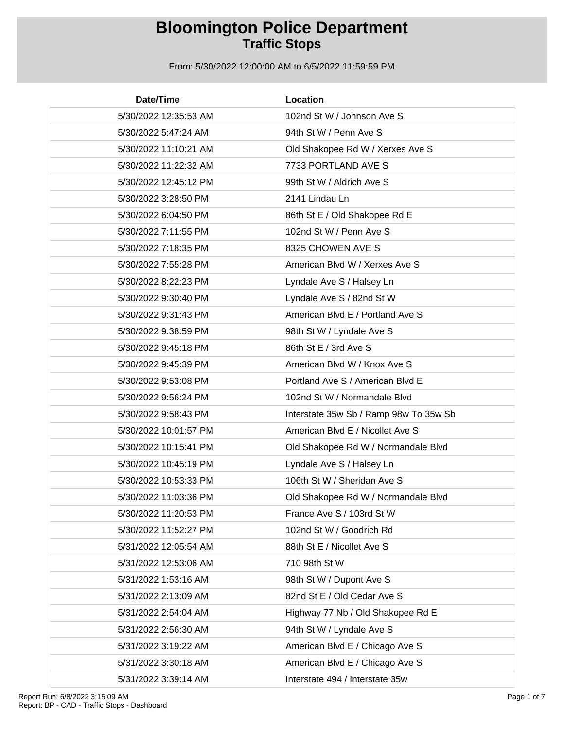| Date/Time             | Location                               |
|-----------------------|----------------------------------------|
| 5/30/2022 12:35:53 AM | 102nd St W / Johnson Ave S             |
| 5/30/2022 5:47:24 AM  | 94th St W / Penn Ave S                 |
| 5/30/2022 11:10:21 AM | Old Shakopee Rd W / Xerxes Ave S       |
| 5/30/2022 11:22:32 AM | 7733 PORTLAND AVE S                    |
| 5/30/2022 12:45:12 PM | 99th St W / Aldrich Ave S              |
| 5/30/2022 3:28:50 PM  | 2141 Lindau Ln                         |
| 5/30/2022 6:04:50 PM  | 86th St E / Old Shakopee Rd E          |
| 5/30/2022 7:11:55 PM  | 102nd St W / Penn Ave S                |
| 5/30/2022 7:18:35 PM  | 8325 CHOWEN AVE S                      |
| 5/30/2022 7:55:28 PM  | American Blvd W / Xerxes Ave S         |
| 5/30/2022 8:22:23 PM  | Lyndale Ave S / Halsey Ln              |
| 5/30/2022 9:30:40 PM  | Lyndale Ave S / 82nd St W              |
| 5/30/2022 9:31:43 PM  | American Blvd E / Portland Ave S       |
| 5/30/2022 9:38:59 PM  | 98th St W / Lyndale Ave S              |
| 5/30/2022 9:45:18 PM  | 86th St E / 3rd Ave S                  |
| 5/30/2022 9:45:39 PM  | American Blvd W / Knox Ave S           |
| 5/30/2022 9:53:08 PM  | Portland Ave S / American Blvd E       |
| 5/30/2022 9:56:24 PM  | 102nd St W / Normandale Blvd           |
| 5/30/2022 9:58:43 PM  | Interstate 35w Sb / Ramp 98w To 35w Sb |
| 5/30/2022 10:01:57 PM | American Blvd E / Nicollet Ave S       |
| 5/30/2022 10:15:41 PM | Old Shakopee Rd W / Normandale Blvd    |
| 5/30/2022 10:45:19 PM | Lyndale Ave S / Halsey Ln              |
| 5/30/2022 10:53:33 PM | 106th St W / Sheridan Ave S            |
| 5/30/2022 11:03:36 PM | Old Shakopee Rd W / Normandale Blvd    |
| 5/30/2022 11:20:53 PM | France Ave S / 103rd St W              |
| 5/30/2022 11:52:27 PM | 102nd St W / Goodrich Rd               |
| 5/31/2022 12:05:54 AM | 88th St E / Nicollet Ave S             |
| 5/31/2022 12:53:06 AM | 710 98th St W                          |
| 5/31/2022 1:53:16 AM  | 98th St W / Dupont Ave S               |
| 5/31/2022 2:13:09 AM  | 82nd St E / Old Cedar Ave S            |
| 5/31/2022 2:54:04 AM  | Highway 77 Nb / Old Shakopee Rd E      |
| 5/31/2022 2:56:30 AM  | 94th St W / Lyndale Ave S              |
| 5/31/2022 3:19:22 AM  | American Blvd E / Chicago Ave S        |
| 5/31/2022 3:30:18 AM  | American Blvd E / Chicago Ave S        |
| 5/31/2022 3:39:14 AM  | Interstate 494 / Interstate 35w        |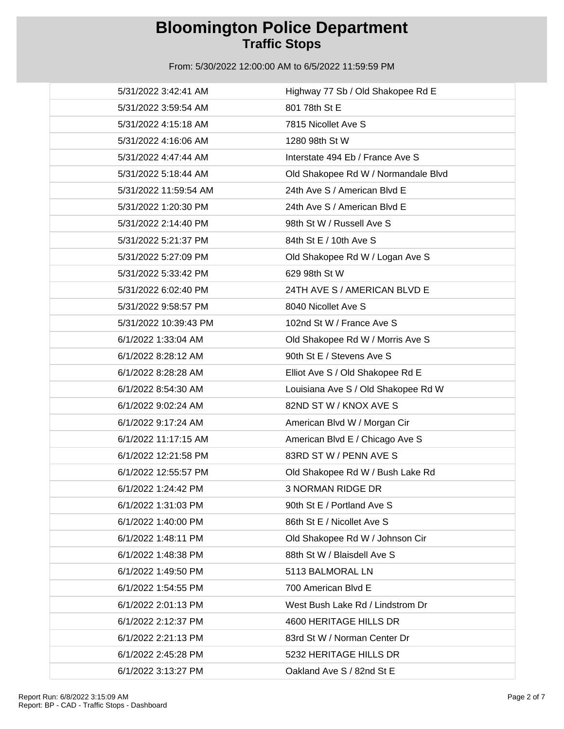| 5/31/2022 3:42:41 AM  | Highway 77 Sb / Old Shakopee Rd E   |
|-----------------------|-------------------------------------|
| 5/31/2022 3:59:54 AM  | 801 78th St E                       |
| 5/31/2022 4:15:18 AM  | 7815 Nicollet Ave S                 |
| 5/31/2022 4:16:06 AM  | 1280 98th St W                      |
| 5/31/2022 4:47:44 AM  | Interstate 494 Eb / France Ave S    |
| 5/31/2022 5:18:44 AM  | Old Shakopee Rd W / Normandale Blvd |
| 5/31/2022 11:59:54 AM | 24th Ave S / American Blvd E        |
| 5/31/2022 1:20:30 PM  | 24th Ave S / American Blvd E        |
| 5/31/2022 2:14:40 PM  | 98th St W / Russell Ave S           |
| 5/31/2022 5:21:37 PM  | 84th St E / 10th Ave S              |
| 5/31/2022 5:27:09 PM  | Old Shakopee Rd W / Logan Ave S     |
| 5/31/2022 5:33:42 PM  | 629 98th St W                       |
| 5/31/2022 6:02:40 PM  | 24TH AVE S / AMERICAN BLVD E        |
| 5/31/2022 9:58:57 PM  | 8040 Nicollet Ave S                 |
| 5/31/2022 10:39:43 PM | 102nd St W / France Ave S           |
| 6/1/2022 1:33:04 AM   | Old Shakopee Rd W / Morris Ave S    |
| 6/1/2022 8:28:12 AM   | 90th St E / Stevens Ave S           |
| 6/1/2022 8:28:28 AM   | Elliot Ave S / Old Shakopee Rd E    |
| 6/1/2022 8:54:30 AM   | Louisiana Ave S / Old Shakopee Rd W |
| 6/1/2022 9:02:24 AM   | 82ND ST W / KNOX AVE S              |
| 6/1/2022 9:17:24 AM   | American Blvd W / Morgan Cir        |
| 6/1/2022 11:17:15 AM  | American Blvd E / Chicago Ave S     |
| 6/1/2022 12:21:58 PM  | 83RD ST W / PENN AVE S              |
| 6/1/2022 12:55:57 PM  | Old Shakopee Rd W / Bush Lake Rd    |
| 6/1/2022 1:24:42 PM   | <b>3 NORMAN RIDGE DR</b>            |
| 6/1/2022 1:31:03 PM   | 90th St E / Portland Ave S          |
| 6/1/2022 1:40:00 PM   | 86th St E / Nicollet Ave S          |
| 6/1/2022 1:48:11 PM   | Old Shakopee Rd W / Johnson Cir     |
| 6/1/2022 1:48:38 PM   | 88th St W / Blaisdell Ave S         |
| 6/1/2022 1:49:50 PM   | 5113 BALMORAL LN                    |
| 6/1/2022 1:54:55 PM   | 700 American Blvd E                 |
| 6/1/2022 2:01:13 PM   | West Bush Lake Rd / Lindstrom Dr    |
| 6/1/2022 2:12:37 PM   | 4600 HERITAGE HILLS DR              |
| 6/1/2022 2:21:13 PM   | 83rd St W / Norman Center Dr        |
| 6/1/2022 2:45:28 PM   | 5232 HERITAGE HILLS DR              |
| 6/1/2022 3:13:27 PM   | Oakland Ave S / 82nd St E           |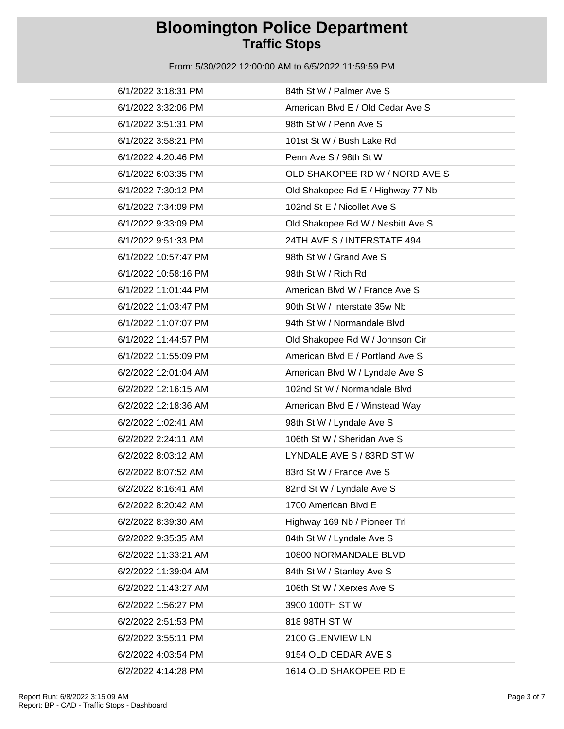| 6/1/2022 3:18:31 PM  | 84th St W / Palmer Ave S          |
|----------------------|-----------------------------------|
| 6/1/2022 3:32:06 PM  | American Blvd E / Old Cedar Ave S |
| 6/1/2022 3:51:31 PM  | 98th St W / Penn Ave S            |
| 6/1/2022 3:58:21 PM  | 101st St W / Bush Lake Rd         |
| 6/1/2022 4:20:46 PM  | Penn Ave S / 98th St W            |
| 6/1/2022 6:03:35 PM  | OLD SHAKOPEE RD W / NORD AVE S    |
| 6/1/2022 7:30:12 PM  | Old Shakopee Rd E / Highway 77 Nb |
| 6/1/2022 7:34:09 PM  | 102nd St E / Nicollet Ave S       |
| 6/1/2022 9:33:09 PM  | Old Shakopee Rd W / Nesbitt Ave S |
| 6/1/2022 9:51:33 PM  | 24TH AVE S / INTERSTATE 494       |
| 6/1/2022 10:57:47 PM | 98th St W / Grand Ave S           |
| 6/1/2022 10:58:16 PM | 98th St W / Rich Rd               |
| 6/1/2022 11:01:44 PM | American Blvd W / France Ave S    |
| 6/1/2022 11:03:47 PM | 90th St W / Interstate 35w Nb     |
| 6/1/2022 11:07:07 PM | 94th St W / Normandale Blvd       |
| 6/1/2022 11:44:57 PM | Old Shakopee Rd W / Johnson Cir   |
| 6/1/2022 11:55:09 PM | American Blvd E / Portland Ave S  |
| 6/2/2022 12:01:04 AM | American Blvd W / Lyndale Ave S   |
| 6/2/2022 12:16:15 AM | 102nd St W / Normandale Blvd      |
| 6/2/2022 12:18:36 AM | American Blvd E / Winstead Way    |
| 6/2/2022 1:02:41 AM  | 98th St W / Lyndale Ave S         |
| 6/2/2022 2:24:11 AM  | 106th St W / Sheridan Ave S       |
| 6/2/2022 8:03:12 AM  | LYNDALE AVE S / 83RD ST W         |
| 6/2/2022 8:07:52 AM  | 83rd St W / France Ave S          |
| 6/2/2022 8:16:41 AM  | 82nd St W / Lyndale Ave S         |
| 6/2/2022 8:20:42 AM  | 1700 American Blvd E              |
| 6/2/2022 8:39:30 AM  | Highway 169 Nb / Pioneer Trl      |
| 6/2/2022 9:35:35 AM  | 84th St W / Lyndale Ave S         |
| 6/2/2022 11:33:21 AM | 10800 NORMANDALE BLVD             |
| 6/2/2022 11:39:04 AM | 84th St W / Stanley Ave S         |
| 6/2/2022 11:43:27 AM | 106th St W / Xerxes Ave S         |
| 6/2/2022 1:56:27 PM  | 3900 100TH ST W                   |
| 6/2/2022 2:51:53 PM  | 818 98TH ST W                     |
| 6/2/2022 3:55:11 PM  | 2100 GLENVIEW LN                  |
| 6/2/2022 4:03:54 PM  | 9154 OLD CEDAR AVE S              |
| 6/2/2022 4:14:28 PM  | 1614 OLD SHAKOPEE RD E            |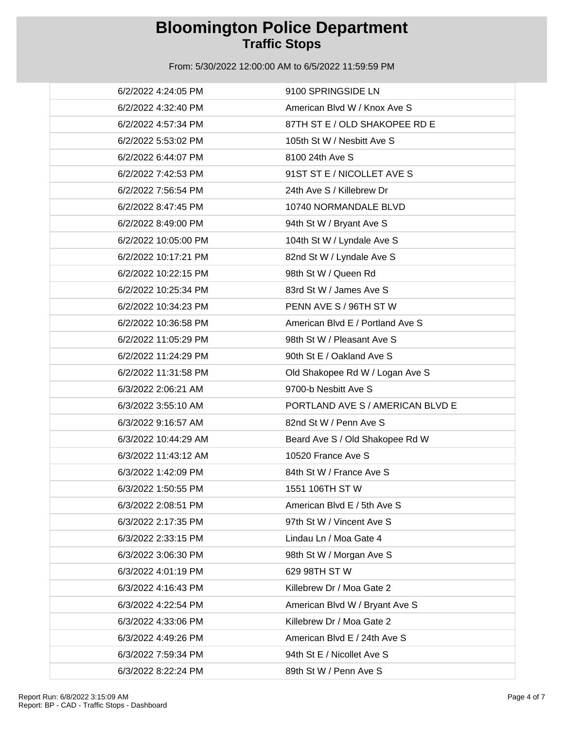| 6/2/2022 4:24:05 PM  | 9100 SPRINGSIDE LN               |
|----------------------|----------------------------------|
| 6/2/2022 4:32:40 PM  | American Blvd W / Knox Ave S     |
| 6/2/2022 4:57:34 PM  | 87TH ST E / OLD SHAKOPEE RD E    |
| 6/2/2022 5:53:02 PM  | 105th St W / Nesbitt Ave S       |
| 6/2/2022 6:44:07 PM  | 8100 24th Ave S                  |
| 6/2/2022 7:42:53 PM  | 91ST ST E / NICOLLET AVE S       |
| 6/2/2022 7:56:54 PM  | 24th Ave S / Killebrew Dr        |
| 6/2/2022 8:47:45 PM  | 10740 NORMANDALE BLVD            |
| 6/2/2022 8:49:00 PM  | 94th St W / Bryant Ave S         |
| 6/2/2022 10:05:00 PM | 104th St W / Lyndale Ave S       |
| 6/2/2022 10:17:21 PM | 82nd St W / Lyndale Ave S        |
| 6/2/2022 10:22:15 PM | 98th St W / Queen Rd             |
| 6/2/2022 10:25:34 PM | 83rd St W / James Ave S          |
| 6/2/2022 10:34:23 PM | PENN AVE S / 96TH ST W           |
| 6/2/2022 10:36:58 PM | American Blvd E / Portland Ave S |
| 6/2/2022 11:05:29 PM | 98th St W / Pleasant Ave S       |
| 6/2/2022 11:24:29 PM | 90th St E / Oakland Ave S        |
| 6/2/2022 11:31:58 PM | Old Shakopee Rd W / Logan Ave S  |
| 6/3/2022 2:06:21 AM  | 9700-b Nesbitt Ave S             |
| 6/3/2022 3:55:10 AM  | PORTLAND AVE S / AMERICAN BLVD E |
| 6/3/2022 9:16:57 AM  | 82nd St W / Penn Ave S           |
| 6/3/2022 10:44:29 AM | Beard Ave S / Old Shakopee Rd W  |
| 6/3/2022 11:43:12 AM | 10520 France Ave S               |
| 6/3/2022 1:42:09 PM  | 84th St W / France Ave S         |
| 6/3/2022 1:50:55 PM  | 1551 106TH ST W                  |
| 6/3/2022 2:08:51 PM  | American Blvd E / 5th Ave S      |
| 6/3/2022 2:17:35 PM  | 97th St W / Vincent Ave S        |
| 6/3/2022 2:33:15 PM  | Lindau Ln / Moa Gate 4           |
| 6/3/2022 3:06:30 PM  | 98th St W / Morgan Ave S         |
| 6/3/2022 4:01:19 PM  | 629 98TH ST W                    |
| 6/3/2022 4:16:43 PM  | Killebrew Dr / Moa Gate 2        |
| 6/3/2022 4:22:54 PM  | American Blvd W / Bryant Ave S   |
| 6/3/2022 4:33:06 PM  | Killebrew Dr / Moa Gate 2        |
| 6/3/2022 4:49:26 PM  | American Blvd E / 24th Ave S     |
| 6/3/2022 7:59:34 PM  | 94th St E / Nicollet Ave S       |
| 6/3/2022 8:22:24 PM  | 89th St W / Penn Ave S           |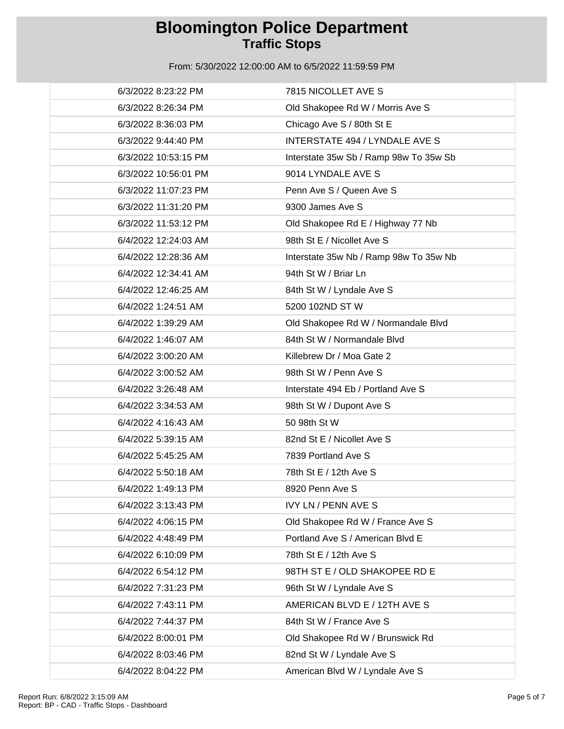| 6/3/2022 8:23:22 PM  | 7815 NICOLLET AVE S                    |
|----------------------|----------------------------------------|
| 6/3/2022 8:26:34 PM  | Old Shakopee Rd W / Morris Ave S       |
| 6/3/2022 8:36:03 PM  | Chicago Ave S / 80th St E              |
| 6/3/2022 9:44:40 PM  | <b>INTERSTATE 494 / LYNDALE AVE S</b>  |
| 6/3/2022 10:53:15 PM | Interstate 35w Sb / Ramp 98w To 35w Sb |
| 6/3/2022 10:56:01 PM | 9014 LYNDALE AVE S                     |
| 6/3/2022 11:07:23 PM | Penn Ave S / Queen Ave S               |
| 6/3/2022 11:31:20 PM | 9300 James Ave S                       |
| 6/3/2022 11:53:12 PM | Old Shakopee Rd E / Highway 77 Nb      |
| 6/4/2022 12:24:03 AM | 98th St E / Nicollet Ave S             |
| 6/4/2022 12:28:36 AM | Interstate 35w Nb / Ramp 98w To 35w Nb |
| 6/4/2022 12:34:41 AM | 94th St W / Briar Ln                   |
| 6/4/2022 12:46:25 AM | 84th St W / Lyndale Ave S              |
| 6/4/2022 1:24:51 AM  | 5200 102ND ST W                        |
| 6/4/2022 1:39:29 AM  | Old Shakopee Rd W / Normandale Blvd    |
| 6/4/2022 1:46:07 AM  | 84th St W / Normandale Blvd            |
| 6/4/2022 3:00:20 AM  | Killebrew Dr / Moa Gate 2              |
| 6/4/2022 3:00:52 AM  | 98th St W / Penn Ave S                 |
| 6/4/2022 3:26:48 AM  | Interstate 494 Eb / Portland Ave S     |
| 6/4/2022 3:34:53 AM  | 98th St W / Dupont Ave S               |
| 6/4/2022 4:16:43 AM  | 50 98th St W                           |
| 6/4/2022 5:39:15 AM  | 82nd St E / Nicollet Ave S             |
| 6/4/2022 5:45:25 AM  | 7839 Portland Ave S                    |
| 6/4/2022 5:50:18 AM  | 78th St E / 12th Ave S                 |
| 6/4/2022 1:49:13 PM  | 8920 Penn Ave S                        |
| 6/4/2022 3:13:43 PM  | <b>IVY LN / PENN AVE S</b>             |
| 6/4/2022 4:06:15 PM  | Old Shakopee Rd W / France Ave S       |
| 6/4/2022 4:48:49 PM  | Portland Ave S / American Blvd E       |
| 6/4/2022 6:10:09 PM  | 78th St E / 12th Ave S                 |
| 6/4/2022 6:54:12 PM  | 98TH ST E / OLD SHAKOPEE RD E          |
| 6/4/2022 7:31:23 PM  | 96th St W / Lyndale Ave S              |
| 6/4/2022 7:43:11 PM  | AMERICAN BLVD E / 12TH AVE S           |
| 6/4/2022 7:44:37 PM  | 84th St W / France Ave S               |
| 6/4/2022 8:00:01 PM  | Old Shakopee Rd W / Brunswick Rd       |
| 6/4/2022 8:03:46 PM  | 82nd St W / Lyndale Ave S              |
| 6/4/2022 8:04:22 PM  | American Blvd W / Lyndale Ave S        |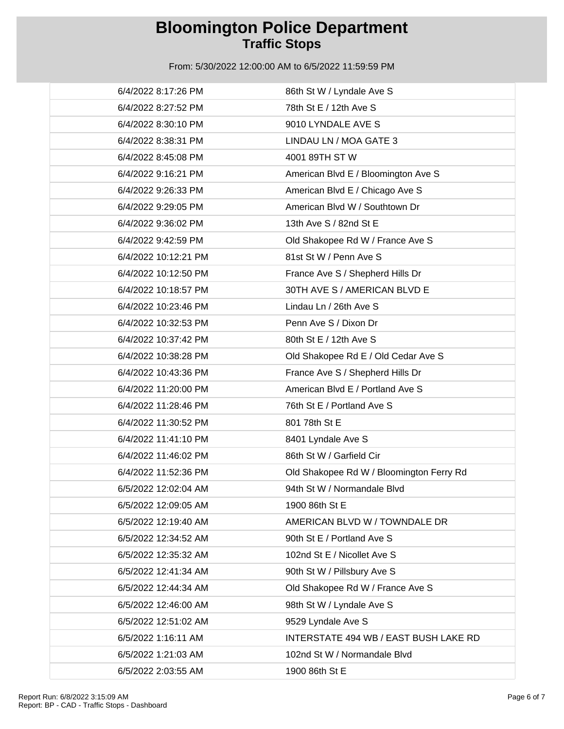| 6/4/2022 8:17:26 PM  | 86th St W / Lyndale Ave S                |
|----------------------|------------------------------------------|
| 6/4/2022 8:27:52 PM  | 78th St E / 12th Ave S                   |
| 6/4/2022 8:30:10 PM  | 9010 LYNDALE AVE S                       |
| 6/4/2022 8:38:31 PM  | LINDAU LN / MOA GATE 3                   |
| 6/4/2022 8:45:08 PM  | 4001 89TH ST W                           |
| 6/4/2022 9:16:21 PM  | American Blvd E / Bloomington Ave S      |
| 6/4/2022 9:26:33 PM  | American Blvd E / Chicago Ave S          |
| 6/4/2022 9:29:05 PM  | American Blvd W / Southtown Dr           |
| 6/4/2022 9:36:02 PM  | 13th Ave S / 82nd St E                   |
| 6/4/2022 9:42:59 PM  | Old Shakopee Rd W / France Ave S         |
| 6/4/2022 10:12:21 PM | 81st St W / Penn Ave S                   |
| 6/4/2022 10:12:50 PM | France Ave S / Shepherd Hills Dr         |
| 6/4/2022 10:18:57 PM | 30TH AVE S / AMERICAN BLVD E             |
| 6/4/2022 10:23:46 PM | Lindau Ln / 26th Ave S                   |
| 6/4/2022 10:32:53 PM | Penn Ave S / Dixon Dr                    |
| 6/4/2022 10:37:42 PM | 80th St E / 12th Ave S                   |
| 6/4/2022 10:38:28 PM | Old Shakopee Rd E / Old Cedar Ave S      |
| 6/4/2022 10:43:36 PM | France Ave S / Shepherd Hills Dr         |
| 6/4/2022 11:20:00 PM | American Blvd E / Portland Ave S         |
| 6/4/2022 11:28:46 PM | 76th St E / Portland Ave S               |
| 6/4/2022 11:30:52 PM | 801 78th St E                            |
| 6/4/2022 11:41:10 PM | 8401 Lyndale Ave S                       |
| 6/4/2022 11:46:02 PM | 86th St W / Garfield Cir                 |
| 6/4/2022 11:52:36 PM | Old Shakopee Rd W / Bloomington Ferry Rd |
| 6/5/2022 12:02:04 AM | 94th St W / Normandale Blvd              |
| 6/5/2022 12:09:05 AM | 1900 86th St E                           |
| 6/5/2022 12:19:40 AM | AMERICAN BLVD W / TOWNDALE DR            |
| 6/5/2022 12:34:52 AM | 90th St E / Portland Ave S               |
| 6/5/2022 12:35:32 AM | 102nd St E / Nicollet Ave S              |
| 6/5/2022 12:41:34 AM | 90th St W / Pillsbury Ave S              |
| 6/5/2022 12:44:34 AM | Old Shakopee Rd W / France Ave S         |
| 6/5/2022 12:46:00 AM | 98th St W / Lyndale Ave S                |
| 6/5/2022 12:51:02 AM | 9529 Lyndale Ave S                       |
| 6/5/2022 1:16:11 AM  | INTERSTATE 494 WB / EAST BUSH LAKE RD    |
| 6/5/2022 1:21:03 AM  | 102nd St W / Normandale Blvd             |
| 6/5/2022 2:03:55 AM  | 1900 86th St E                           |